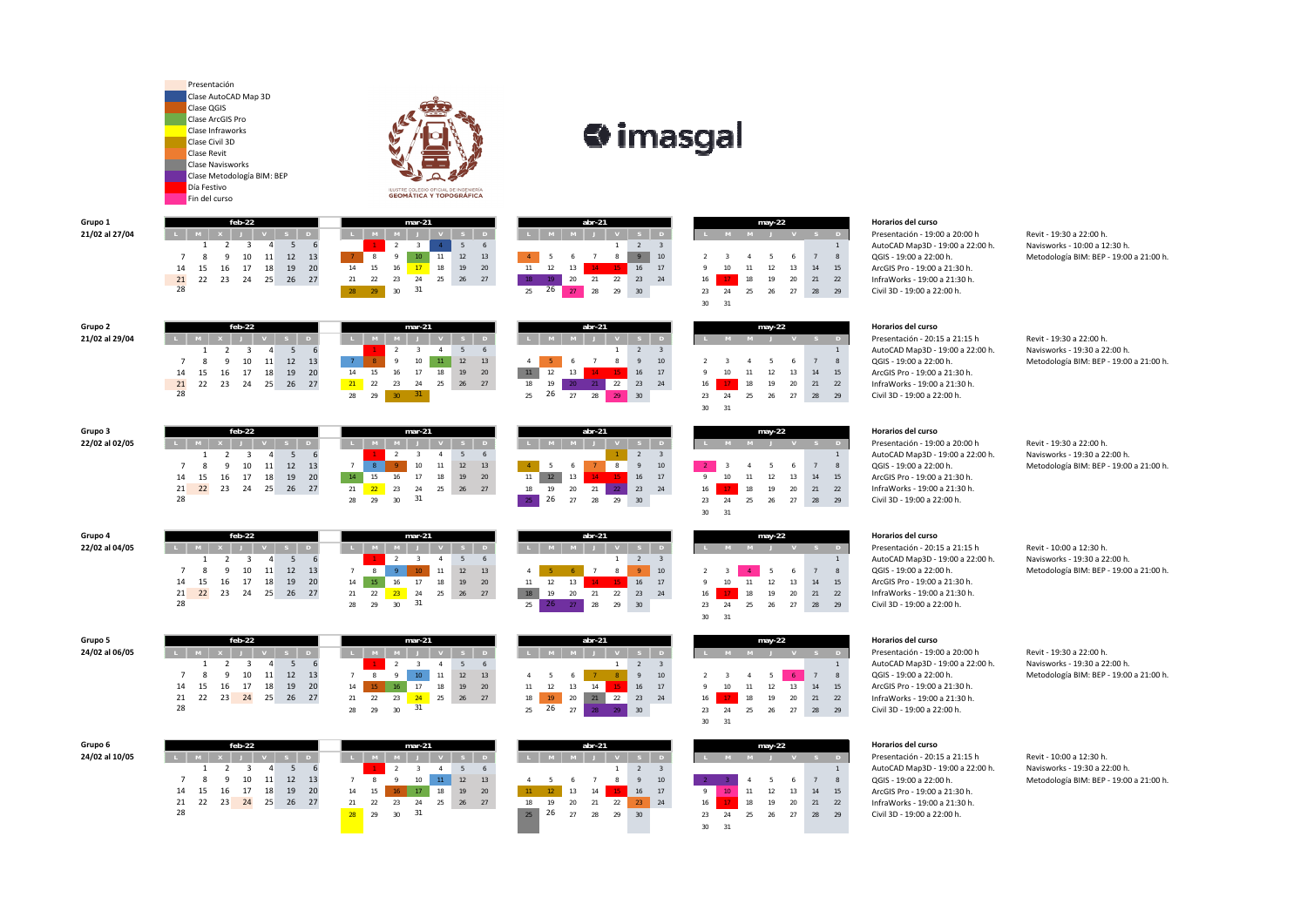Grupo 3 feb-22 mar-21 abr-21 Horarios del curso 123456

> 21 22 23 24 25 26 27 21 22 23 24 25 26 27 18 19 20 21 22 23 24 16 17 18 19 20 21 22 InfraWorks - 19:00 a 21:30 h. <sup>31</sup> <sup>25</sup> 26 <sup>27</sup> <sup>28</sup> <sup>29</sup> <sup>30</sup> <sup>23</sup> <sup>24</sup> <sup>25</sup> <sup>26</sup> <sup>27</sup> <sup>28</sup> <sup>29</sup> Civil 3D ‐ 19:00 a 22:00 h.

| arupo o        |  |
|----------------|--|
| 24/02 al 06/05 |  |
|                |  |

|                |    |    | $may-22$ |    |    |    |
|----------------|----|----|----------|----|----|----|
| L              | M  | M  |          |    | S  | D  |
|                |    |    |          |    |    | 1  |
| $\overline{2}$ | 3  | 4  | 5        | 6  | 7  | 8  |
| 9              | 10 | 11 | 12       | 13 | 14 | 15 |
| 16             | 17 | 18 | 19       | 20 | 21 | 22 |
| 23             | 24 | 25 | 26       | 27 | 28 | 29 |
| 30             | 31 |    |          |    |    |    |

| 31<br>30<br>feb-22<br>abr-21<br>$mar-21$<br>$may-22$<br><b>Horarios del curso</b><br><b>D</b> | InfraWorks - 19:00 a 21:30 h.<br>Civil 3D - 19:00 a 22:00 h. |
|-----------------------------------------------------------------------------------------------|--------------------------------------------------------------|
|                                                                                               |                                                              |
|                                                                                               | Presentación - 20:15 a 21:15 l<br>AutoCAD Map3D - 19:00 a 22 |

- <sup>123456</sup> <sup>123</sup> <sup>1</sup> AutoCAD Map3D ‐ 19:00 a 22:00 h. Navisworks ‐ 10:00 a 12:30 h. 7 8 9 10 11 12 13 <sup>7</sup> <sup>8</sup> <sup>9</sup> <sup>10</sup> <sup>11</sup> <sup>12</sup> <sup>13</sup> <sup>4</sup> <sup>5</sup> <sup>6</sup> <sup>7</sup> <sup>8</sup> <sup>9</sup> <sup>10</sup> <sup>2</sup> <sup>3</sup> <sup>4</sup> <sup>5</sup> <sup>6</sup> <sup>7</sup> <sup>8</sup> QGIS ‐ 19:00 a 22:00 h. Metodología BIM: BEP ‐ 19:00 a 21:00 h.
- <sup>123456</sup> <sup>123</sup> <sup>1</sup> AutoCAD Map3D ‐ 19:00 a 22:00 h. Navisworks ‐ 19:30 a 22:00 h. 7 8 9 10 11 12 13 <sup>7</sup> <sup>8</sup> <sup>9</sup> <sup>10</sup> <sup>11</sup> <sup>12</sup> <sup>13</sup> <sup>4</sup> <sup>5</sup> <sup>6</sup> <sup>7</sup> <sup>8</sup> <sup>9</sup> <sup>10</sup> <sup>2</sup> <sup>3</sup> <sup>4</sup> <sup>5</sup> <sup>6</sup> <sup>7</sup> <sup>8</sup> QGIS ‐ 19:00 a 22:00 h. Metodología BIM: BEP ‐ 19:00 a 21:00 h.
- 7 8 9 10 11 12 13 <sup>7</sup> <sup>8</sup> <sup>9</sup> <sup>10</sup> <sup>11</sup> <sup>12</sup> <sup>13</sup> <sup>4</sup> <sup>5</sup> <sup>6</sup> <sup>7</sup> <sup>8</sup> <sup>9</sup> <sup>10</sup> <sup>2</sup> <sup>3</sup> <sup>4</sup> <sup>5</sup> <sup>6</sup> <sup>7</sup> <sup>8</sup> QGIS ‐ 19:00 a 22:00 h. Metodología BIM: BEP ‐ 19:00 a 21:00 h.
	-
	- <sup>123456</sup> <sup>123</sup> <sup>1</sup> AutoCAD Map3D ‐ 19:00 a 22:00 h. Navisworks ‐ 19:30 a 22:00 h.
	- <sup>123456</sup> <sup>123</sup> <sup>1</sup> AutoCAD Map3D ‐ 19:00 a 22:00 h. Navisworks ‐ 19:30 a 22:00 h. 7 8 9 10 11 12 13 <sup>7</sup> <sup>8</sup> <sup>9</sup> <sup>10</sup> <sup>11</sup> <sup>12</sup> <sup>13</sup> <sup>4</sup> <sup>5</sup> <sup>6</sup> <sup>7</sup> <sup>8</sup> <sup>9</sup> <sup>10</sup> <sup>2</sup> <sup>3</sup> <sup>4</sup> <sup>5</sup> <sup>6</sup> <sup>7</sup> <sup>8</sup> QGIS ‐ 19:00 a 22:00 h. Metodología BIM: BEP ‐ 19:00 a 21:00 h.

|                | Presentación<br>Clase AutoCAD Map 3D<br>Clase QGIS<br><b>Clase ArcGIS Pro</b><br>Clase Infraworks<br>Clase Civil 3D<br><b>Clase Revit</b><br><b>Clase Navisworks</b><br>Clase Metodología BIM: BEP<br>Día Festivo<br>Fin del curso | ILUSTRE COLEGIO OFICIAL DE INGENIERÍA<br><b>GEOMÁTICA Y TOPOGRÁFICA</b> | $\Leftrightarrow$ imasgal                                                  |                                                            |
|----------------|------------------------------------------------------------------------------------------------------------------------------------------------------------------------------------------------------------------------------------|-------------------------------------------------------------------------|----------------------------------------------------------------------------|------------------------------------------------------------|
| Grupo 1        | $feb-22$                                                                                                                                                                                                                           | $mar-21$                                                                | abr-21<br>may-22                                                           | Horarios del curso                                         |
| 21/02 al 27/04 |                                                                                                                                                                                                                                    |                                                                         |                                                                            | Presentación - 19:00 a 20:00 h<br>Revit - 19:30 a 22:00 h  |
|                |                                                                                                                                                                                                                                    |                                                                         | $\overline{2}$<br>$\overline{3}$                                           | Navisworks - 10:00 a 1<br>AutoCAD Map3D - 19:00 a 22:00 h. |
|                | 12<br>11<br>10<br>13                                                                                                                                                                                                               | 11<br>12<br>13                                                          | 10<br>-5<br>6<br>$\mathbf{R}$                                              | Metodología BIM: BEP<br>QGIS - 19:00 a 22:00 h.            |
|                | 19<br>14<br>17<br>18<br>20<br>15<br>16                                                                                                                                                                                             | 18<br>17<br>19<br>20<br>14<br>16                                        | 16<br>12<br>17<br>13<br>11<br>15<br>13<br>12<br>14                         | ArcGIS Pro - 19:00 a 21:30 h.                              |
|                | $\frac{21}{28}$<br>22<br>23<br>25<br>26 27<br>24                                                                                                                                                                                   | 25<br>24<br>26<br>27<br>31                                              | 22<br>23<br>20<br>20<br>21<br>24<br>19<br>16<br>18<br>21<br>22<br>26       | InfraWorks - 19:00 a 21:30 h.                              |
|                |                                                                                                                                                                                                                                    | 30<br>28<br>29                                                          | 28<br>29<br>25<br>30<br>23<br>24<br>27<br>28<br>29<br>25<br>26             | Civil 3D - 19:00 a 22:00 h.                                |
|                |                                                                                                                                                                                                                                    |                                                                         | 30 <sup>°</sup><br>31                                                      |                                                            |
| Grupo 2        | $feb-22$                                                                                                                                                                                                                           | $mar-21$                                                                | abr-21<br>may-22                                                           | Horarios del curso                                         |
| 21/02 al 29/04 |                                                                                                                                                                                                                                    |                                                                         |                                                                            | Presentación - 20:15 a 21:15 h<br>Revit - 19:30 a 22:00 h  |
|                |                                                                                                                                                                                                                                    |                                                                         | $\overline{2}$                                                             | Navisworks - 19:30 a 2<br>AutoCAD Map3D - 19:00 a 22:00 h. |
|                | 12<br>11<br>13<br>10                                                                                                                                                                                                               | 10<br>12<br>13                                                          | 10<br>8<br>6                                                               | Metodología BIM: BEP<br>QGIS - 19:00 a 22:00 h.            |
|                | 19<br>14<br>18<br>-20<br>15<br>17<br>16                                                                                                                                                                                            | 18<br>19<br>20<br>14<br>17                                              | 12<br>13<br>16<br>17<br>13<br>14<br>15                                     | ArcGIS Pro - 19:00 a 21:30 h.                              |
|                | 21<br>22<br>23<br>26<br>25<br>27<br>24                                                                                                                                                                                             | 21<br>22<br>23<br>25<br>27<br>24<br>26                                  | 22<br>23<br>20<br>24<br>19<br>21<br>22<br>18<br>19<br>16<br>18             | InfraWorks - 19:00 a 21:30 h.                              |
|                | 28                                                                                                                                                                                                                                 | 31<br>28<br>29<br>30 <sup>°</sup>                                       | 26<br>27<br>28<br>25<br>29<br>30<br>27<br>23<br>24<br>25<br>26<br>28<br>29 | Civil 3D - 19:00 a 22:00 h.                                |

28

28 29 30

|    |    |    |    | $abr-21$ |                |                |
|----|----|----|----|----------|----------------|----------------|
| D  | П  | M  | M  |          | $\overline{V}$ | S              |
| 6  |    |    |    |          | 1              | $\overline{2}$ |
| 13 | 4  | 5  | 6  |          | 8              | 9              |
| 20 | 11 | 12 | 13 | 14       | 15             | 16             |
| 27 | 18 | 19 | 20 | 21       | 22             | 23             |
|    | 25 | 26 | 27 | 28       | 29             | 30             |

30 31

| Grupo 3        | feb-22 |       |                |                 |    |       | mar-21 |    |    |    |    | abr-21 |     |    |  |    |    | $may-22$ |    |    |    | Horarios del curso |    |    |                                  |                               |
|----------------|--------|-------|----------------|-----------------|----|-------|--------|----|----|----|----|--------|-----|----|--|----|----|----------|----|----|----|--------------------|----|----|----------------------------------|-------------------------------|
| 22/02 al 02/05 |        |       |                |                 |    |       |        |    |    |    |    |        |     |    |  |    |    |          |    |    |    |                    |    |    | Presentación - 19:00 a 20:00 h   | Revit - 19:30 a 22:00 h.      |
|                |        |       |                |                 |    |       |        |    |    |    |    |        |     |    |  |    |    |          |    |    |    |                    |    |    | AutoCAD Map3D - 19:00 a 22:00 h. | Navisworks - 19:30 a 22:00 h. |
|                |        |       |                | 10 <sup>1</sup> |    |       |        |    |    |    | 12 |        |     |    |  |    |    |          |    |    |    |                    |    |    | QGIS - 19:00 a 22:00 h.          | Metodología BIM: BEP - 19:00  |
|                |        |       | 14  15  16  17 |                 | 18 | 19 20 |        |    |    |    | 19 | 20     |     | 13 |  | 16 | 17 |          |    |    |    |                    | 14 | 15 | ArcGIS Pro - 19:00 a 21:30 h.    |                               |
|                |        | 21 22 | -23            | 24              | 25 | 26 27 |        |    |    |    | 26 |        |     |    |  | 23 |    |          |    | 18 |    | 20                 | 21 | 22 | InfraWorks - 19:00 a 21:30 h.    |                               |
|                | 28     |       |                |                 |    |       | 28     | 29 | 30 | 31 |    |        | -26 |    |  | 30 |    |          |    |    | 26 |                    | 28 | 29 | Civil 3D - 19:00 a 22:00 h.      |                               |
|                |        |       |                |                 |    |       |        |    |    |    |    |        |     |    |  |    |    | 30       | 31 |    |    |                    |    |    |                                  |                               |
|                |        |       |                |                 |    |       |        |    |    |    |    |        |     |    |  |    |    |          |    |    |    |                    |    |    |                                  |                               |

|                | may-22 |    |    |    |    |    |  |  |  |  |  |  |  |  |
|----------------|--------|----|----|----|----|----|--|--|--|--|--|--|--|--|
|                | M      | M  |    | S  | D  |    |  |  |  |  |  |  |  |  |
|                |        |    |    |    |    | 1  |  |  |  |  |  |  |  |  |
| $\overline{2}$ | 3      |    | 5  | 6  | 7  | 8  |  |  |  |  |  |  |  |  |
| 9              | 10     | 11 | 12 | 13 | 14 | 15 |  |  |  |  |  |  |  |  |
| 16             |        | 18 | 19 | 20 | 21 | 22 |  |  |  |  |  |  |  |  |

|    |                 |                | $may-22$ |    |    |    |
|----|-----------------|----------------|----------|----|----|----|
|    | M               | M              |          |    |    | D. |
|    |                 |                |          |    |    |    |
|    |                 | $\overline{4}$ | 5        | 6  |    | 8  |
| 9  | 10 <sup>2</sup> | 11             | 12       | 13 | 14 | 15 |
| 16 |                 | 18             | 19       | 20 | 21 | 22 |
| 23 | 24              | 25             | 26       | 27 | 28 | 29 |
| ۹Λ | 31              |                |          |    |    |    |

 28 29 30Grupo 4 feb-22 mar-21 abr-21 may-22 Horarios del curso 22/02 al 04/05 L | M | X | J | V | S | D | L | M | M | J | V | S | D | L | M | M | J | V | S | D | L | M | M | J | V | S | D | L | M | M | J | V | S | D | L | M | M | J | V | S | D | Presentación - 20:15 a 21:15 h Revit - 123456 <sup>123456</sup> <sup>123</sup> <sup>1</sup> AutoCAD Map3D ‐ 19:00 a 22:00 h. Navisworks ‐ 19:30 a 22:00 h. 7 8 9 10 11 12 13 <sup>7</sup> <sup>8</sup> <sup>9</sup> <sup>10</sup> <sup>11</sup> <sup>12</sup> <sup>13</sup> <sup>4</sup> <sup>5</sup> <sup>6</sup> <sup>7</sup> <sup>8</sup> <sup>9</sup> <sup>10</sup> <sup>2</sup> <sup>3</sup> <sup>4</sup> <sup>5</sup> <sup>6</sup> <sup>7</sup> <sup>8</sup> QGIS ‐ 19:00 a 22:00 h. Metodología BIM: BEP ‐ 19:00 a 21:00 h. 14 15 16 17 18 19 20 <sup>14</sup> <sup>15</sup> <sup>16</sup> <sup>17</sup> <sup>18</sup> <sup>19</sup> <sup>20</sup> <sup>11</sup> <sup>12</sup> <sup>13</sup> <sup>14</sup> <sup>15</sup> <sup>16</sup> <sup>17</sup> <sup>9</sup> <sup>10</sup> <sup>11</sup> <sup>12</sup> <sup>13</sup> <sup>14</sup> <sup>15</sup> ArcGIS Pro ‐ 19:00 a 21:30 h. **feb-22 mar-21 abr-21 may-22**

| Grupo 5        |    |          | feb-22             |       | $mar-21$ |  |  |  |  |    |    |  | abr-21 |           |        |    | $may-22$        |  |  | Horarios del curso |    |    |                                                                    |
|----------------|----|----------|--------------------|-------|----------|--|--|--|--|----|----|--|--------|-----------|--------|----|-----------------|--|--|--------------------|----|----|--------------------------------------------------------------------|
| 24/02 al 06/05 |    |          |                    |       |          |  |  |  |  |    |    |  |        |           |        |    |                 |  |  |                    |    |    | Presentación - 19:00 a 20:00 h<br>Revit - 19:30 a 22:00 h.         |
|                |    |          |                    |       |          |  |  |  |  |    |    |  |        |           |        |    |                 |  |  |                    |    |    | AutoCAD Map3D - 19:00 a 22:00 h.<br>Navisworks - 19:30 a 22:00 h.  |
|                |    |          |                    | 12 13 |          |  |  |  |  |    | 12 |  |        |           |        |    |                 |  |  |                    |    |    | QGIS - 19:00 a 22:00 h.<br>Metodología BIM: BEP - 19:00 a 21:00 h. |
|                |    |          | 14  15  16  17  18 | 19 20 |          |  |  |  |  | 18 | 19 |  |        |           |        | 14 | 16              |  |  |                    | 14 | 15 | ArcGIS Pro - 19:00 a 21:30 h.                                      |
|                |    | 21 22 23 | 24 25              | 26 27 |          |  |  |  |  |    | 26 |  |        |           |        |    | 23              |  |  |                    | 21 | 22 | InfraWorks - 19:00 a 21:30 h.                                      |
|                | 28 |          |                    |       |          |  |  |  |  |    |    |  |        | <b>26</b> | $\sim$ |    | 30 <sup>°</sup> |  |  |                    | 28 | 29 | Civil 3D - 19:00 a 22:00 h.                                        |

| Grupo 6        | rep-zz                    | mar-z II                    | apr-z i<br>may-22 | Horarios del curso                                         |
|----------------|---------------------------|-----------------------------|-------------------|------------------------------------------------------------|
| 24/02 al 10/05 |                           |                             |                   | Presentación - 20:15 a 21:15 h<br>Revit - 10:00 a 12:30 h  |
|                |                           |                             |                   | AutoCAD Map3D - 19:00 a 22:00 h.<br>Navisworks - 19:30 a 2 |
|                | 12<br>10 11               | 12                          |                   | Metodología BIM: BEP<br>QGIS - 19:00 a 22:00 h.            |
|                | 18<br>19<br>14 15<br>- 16 | 18<br>19<br>20 <sup>1</sup> | 13<br>14<br>17    | ArcGIS Pro - 19:00 a 21:30 h.                              |
|                | 26<br>21 22<br>25         |                             | 16                | InfraWorks - 19:00 a 21:30 h.                              |
|                |                           |                             |                   | $Civil 3D - 19:00 - 22:00 h$                               |

| feb-22<br>Grupo 6 |    |    |                 |    |    |    |    |    | $mar-21$ |    |     |       |    |    | $abr-21$ |    |    |    |    |    | $may-22$ |    |    |    | <b>Horarios del curso</b> |    |                      |
|-------------------|----|----|-----------------|----|----|----|----|----|----------|----|-----|-------|----|----|----------|----|----|----|----|----|----------|----|----|----|---------------------------|----|----------------------|
| 24/02 al 10/05    |    |    |                 |    |    |    |    |    |          |    |     |       |    |    |          |    |    |    |    |    |          |    |    |    |                           |    | Presentación - 20:   |
|                   |    |    |                 |    |    |    |    |    |          |    |     |       |    |    |          |    |    |    |    |    |          |    |    |    |                           |    | AutoCAD Map3D -      |
|                   |    |    |                 | 10 |    | 12 | 13 |    |          |    | 10  | $\P1$ | 12 | 13 |          |    |    |    |    |    |          |    |    |    |                           |    | QGIS - 19:00 a 22:   |
|                   | 14 |    |                 |    | 18 | 19 | 20 |    | 15       |    |     | 18    | 19 | 20 |          |    | 14 |    | 16 | 17 |          |    |    |    | 14                        | 15 | ArcGIS Pro - 19:00   |
|                   | 21 | 22 | 23 <sub>1</sub> | 24 | 25 | 26 | 27 |    |          |    |     | 25    | 26 | 27 |          |    |    | 22 |    | 24 | 16       | 18 | 19 | 20 | 21                        | 22 | InfraWorks - 19:00   |
|                   | 28 |    |                 |    |    |    |    | 28 | 29       | 30 | -31 |       |    |    |          | 26 | 28 | 29 | 30 |    | 23       |    |    | 27 | 28                        | 29 | Civil 3D - 19:00 a 2 |
|                   |    |    |                 |    |    |    |    |    |          |    |     |       |    |    |          |    |    |    |    |    |          |    |    |    |                           |    |                      |

|    |        |    |    |        | $\overline{2}$ | 3  |  |  |  |  |  |  |  |  |
|----|--------|----|----|--------|----------------|----|--|--|--|--|--|--|--|--|
| 4  | 5      | 6  | 7  | 8      | 9              | 10 |  |  |  |  |  |  |  |  |
| 11 | 12     | 13 | 14 | 15     | 16             | 17 |  |  |  |  |  |  |  |  |
| 18 | 19     | 20 | 21 | 22     | 23             | 24 |  |  |  |  |  |  |  |  |
| 25 | 26     | 27 | 28 | 29     | 30             |    |  |  |  |  |  |  |  |  |
|    |        |    |    |        |                |    |  |  |  |  |  |  |  |  |
|    |        |    |    |        |                |    |  |  |  |  |  |  |  |  |
|    | abr-21 |    |    |        |                |    |  |  |  |  |  |  |  |  |
| m  | m.     | m  | n  | $\sim$ | n.             | ≂  |  |  |  |  |  |  |  |  |

| L              | M  | M  |    | V  | S              | D  |
|----------------|----|----|----|----|----------------|----|
|                |    |    |    | 1  | $\overline{2}$ | 3  |
| $\overline{4}$ | 5  | 6  | 7  | 8  | 9              | 10 |
| 11             | 12 | 13 | 14 | 15 | 16             | 17 |
| 18             | 19 | 20 | 21 | 22 | 23             | 24 |
| 25             | 26 | 27 | 28 | 29 | 30             |    |
|                |    |    |    |    |                |    |

14 15 16 17 18 19 20 <sup>14</sup> <sup>15</sup> <sup>16</sup> <sup>17</sup> <sup>18</sup> <sup>19</sup> <sup>20</sup> <sup>11</sup> <sup>12</sup> <sup>13</sup> <sup>14</sup> <sup>15</sup> <sup>16</sup> <sup>17</sup> <sup>9</sup> <sup>10</sup> <sup>11</sup> <sup>12</sup> <sup>13</sup> <sup>14</sup> <sup>15</sup> ArcGIS Pro ‐ 19:00 a 21:30 h. 21 22 23 24 25 26 27 <sup>21</sup> <sup>22</sup> <sup>23</sup> <sup>24</sup> <sup>25</sup> <sup>26</sup> <sup>27</sup> <sup>18</sup> <sup>19</sup> <sup>20</sup> <sup>21</sup> <sup>22</sup> <sup>23</sup> <sup>24</sup> <sup>16</sup> <sup>17</sup> <sup>18</sup> <sup>19</sup> <sup>20</sup> <sup>21</sup> <sup>22</sup> InfraWorks ‐ 19:00 a 21:30 h. <sup>31</sup> <sup>25</sup> 26 <sup>27</sup> <sup>28</sup> <sup>29</sup> <sup>30</sup> <sup>23</sup> <sup>24</sup> <sup>25</sup> <sup>26</sup> <sup>27</sup> <sup>28</sup> <sup>29</sup> Civil 3D ‐ 19:00 a 22:00 h.

|                |    |    | $may-22$ |    |    |    |
|----------------|----|----|----------|----|----|----|
|                | M  | M  |          |    | S  | D  |
|                |    |    |          |    |    | 1  |
| $\overline{2}$ | 3  | 4  | 5        | 6  | 7  | 8  |
| 9              | 10 | 11 | 12       | 13 | 14 | 15 |
| 16             | 17 | 18 | 19       | 20 | 21 | 22 |
| 23             | 24 | 25 | 26       | 27 | 28 | 29 |
| 30             | 31 |    |          |    |    |    |